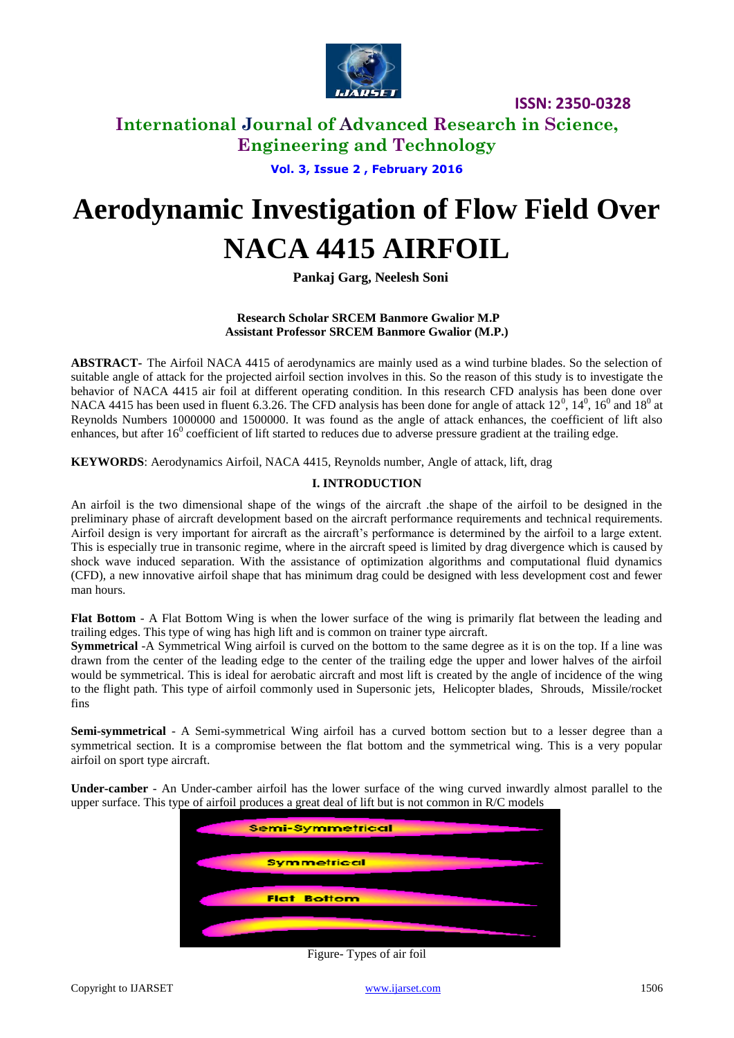

### **International Journal of Advanced Research in Science, Engineering and Technology**

**Vol. 3, Issue 2 , February 2016**

# **Aerodynamic Investigation of Flow Field Over NACA 4415 AIRFOIL**

**Pankaj Garg, Neelesh Soni**

#### **Research Scholar SRCEM Banmore Gwalior M.P Assistant Professor SRCEM Banmore Gwalior (M.P.)**

**ABSTRACT-** The Airfoil NACA 4415 of aerodynamics are mainly used as a wind turbine blades. So the selection of suitable angle of attack for the projected airfoil section involves in this. So the reason of this study is to investigate the behavior of NACA 4415 air foil at different operating condition. In this research CFD analysis has been done over NACA 4415 has been used in fluent 6.3.26. The CFD analysis has been done for angle of attack  $12^0$ ,  $14^0$ ,  $16^0$  and  $18^0$  at Reynolds Numbers 1000000 and 1500000. It was found as the angle of attack enhances, the coefficient of lift also enhances, but after  $16^0$  coefficient of lift started to reduces due to adverse pressure gradient at the trailing edge.

**KEYWORDS**: Aerodynamics Airfoil, NACA 4415, Reynolds number, Angle of attack, lift, drag

#### **I. INTRODUCTION**

An airfoil is the two dimensional shape of the wings of the aircraft .the shape of the airfoil to be designed in the preliminary phase of aircraft development based on the aircraft performance requirements and technical requirements. Airfoil design is very important for aircraft as the aircraft's performance is determined by the airfoil to a large extent. This is especially true in transonic regime, where in the aircraft speed is limited by drag divergence which is caused by shock wave induced separation. With the assistance of optimization algorithms and computational fluid dynamics (CFD), a new innovative airfoil shape that has minimum drag could be designed with less development cost and fewer man hours.

**Flat Bottom** - A Flat Bottom Wing is when the lower surface of the wing is primarily flat between the leading and trailing edges. This type of wing has high lift and is common on trainer type aircraft.

**Symmetrical** -A Symmetrical Wing airfoil is curved on the bottom to the same degree as it is on the top. If a line was drawn from the center of the leading edge to the center of the trailing edge the upper and lower halves of the airfoil would be symmetrical. This is ideal for aerobatic aircraft and most lift is created by the angle of incidence of the wing to the flight path. This type of airfoil commonly used in Supersonic jets, Helicopter blades, Shrouds, Missile/rocket fins

**Semi-symmetrical** - A Semi-symmetrical Wing airfoil has a curved bottom section but to a lesser degree than a symmetrical section. It is a compromise between the flat bottom and the symmetrical wing. This is a very popular airfoil on sport type aircraft.

**Under-camber** - An Under-camber airfoil has the lower surface of the wing curved inwardly almost parallel to the upper surface. This type of airfoil produces a great deal of lift but is not common in R/C models



Figure- Types of air foil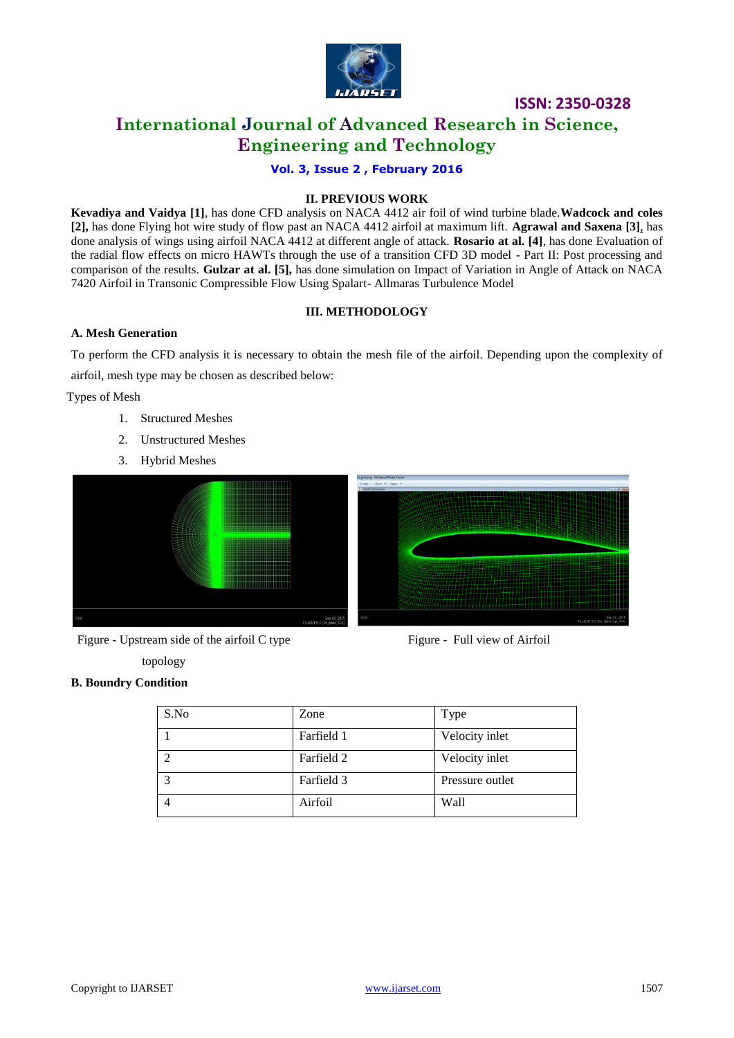

### **International Journal of Advanced Research in Science, Engineering and Technology**

**Vol. 3, Issue 2 , February 2016**

#### **II. PREVIOUS WORK**

**Kevadiya and Vaidya [1]**, has done CFD analysis on NACA 4412 air foil of wind turbine blade.**Wadcock and coles [2],** has done Flying hot wire study of flow past an NACA 4412 airfoil at maximum lift. **Agrawal and Saxena [3]**, has done analysis of wings using airfoil NACA 4412 at different angle of attack. **Rosario at al. [4]**, has done Evaluation of the radial flow effects on micro HAWTs through the use of a transition CFD 3D model - Part II: Post processing and comparison of the results. **Gulzar at al. [5],** has done simulation on Impact of Variation in Angle of Attack on NACA 7420 Airfoil in Transonic Compressible Flow Using Spalart- Allmaras Turbulence Model

#### **III. METHODOLOGY**

#### **A. Mesh Generation**

To perform the CFD analysis it is necessary to obtain the mesh file of the airfoil. Depending upon the complexity of airfoil, mesh type may be chosen as described below:

Types of Mesh

- 1. Structured Meshes
- 2. Unstructured Meshes
- 3. Hybrid Meshes





topology



#### **B. Boundry Condition**

| S.No | Zone       | Type            |
|------|------------|-----------------|
|      | Farfield 1 | Velocity inlet  |
|      | Farfield 2 | Velocity inlet  |
| っ    | Farfield 3 | Pressure outlet |
|      | Airfoil    | Wall            |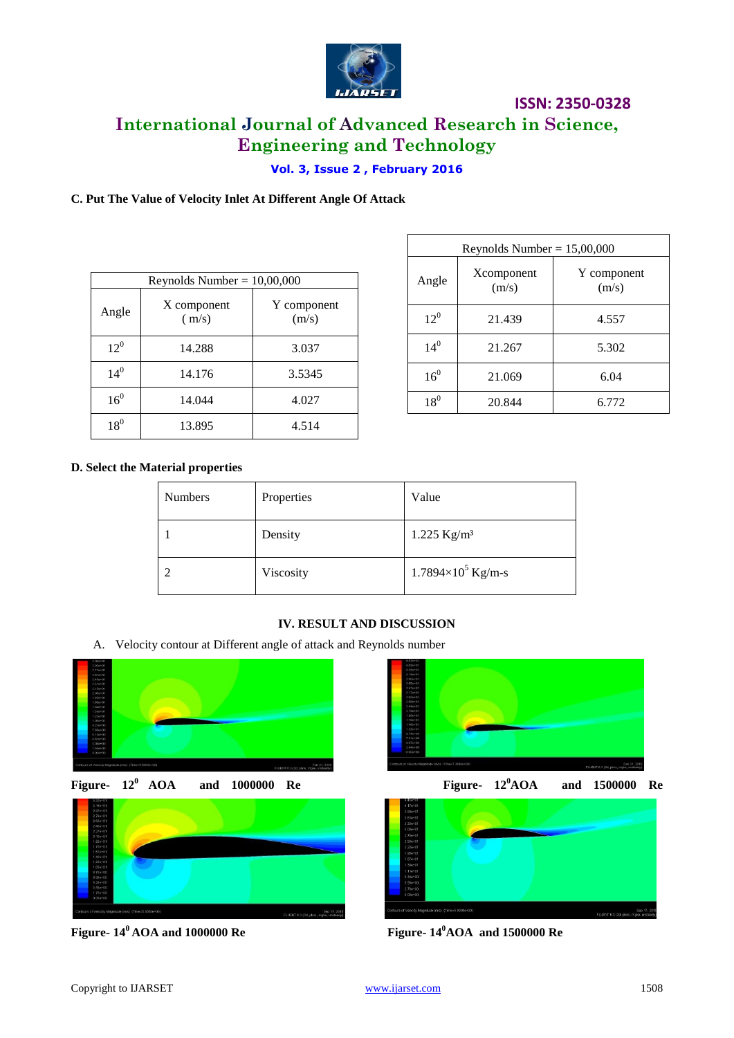

# **International Journal of Advanced Research in Science, Engineering and Technology**

#### **Vol. 3, Issue 2 , February 2016**

#### **C. Put The Value of Velocity Inlet At Different Angle Of Attack**

| Reynolds Number = $10,00,000$ |                      |                      |  |
|-------------------------------|----------------------|----------------------|--|
| Angle                         | X component<br>(m/s) | Y component<br>(m/s) |  |
| $12^{0}$                      | 14.288               | 3.037                |  |
| $14^{0}$                      | 14.176               | 3.5345               |  |
| 16 <sup>0</sup>               | 14.044               | 4.027                |  |
| 18 <sup>0</sup>               | 13.895               | 4.514                |  |

| Reynolds Number = $15,00,000$ |                     |                      |  |
|-------------------------------|---------------------|----------------------|--|
| Angle                         | Xcomponent<br>(m/s) | Y component<br>(m/s) |  |
| $12^{0}$                      | 21.439              | 4.557                |  |
| $14^{0}$                      | 21.267              | 5.302                |  |
| 16 <sup>0</sup>               | 21.069              | 6.04                 |  |
| $18^0$                        | 20.844              | 6.772                |  |

#### **D. Select the Material properties**

| <b>Numbers</b> | Properties | Value                       |
|----------------|------------|-----------------------------|
|                | Density    | $1.225$ Kg/m <sup>3</sup>   |
|                | Viscosity  | $1.7894\times10^{5}$ Kg/m-s |

#### **IV. RESULT AND DISCUSSION**

A. Velocity contour at Different angle of attack and Reynolds number









**Figure- 14<sup>0</sup>AOA and 1000000 Re Figure- 14<sup>0</sup>AOA and 1500000 Re**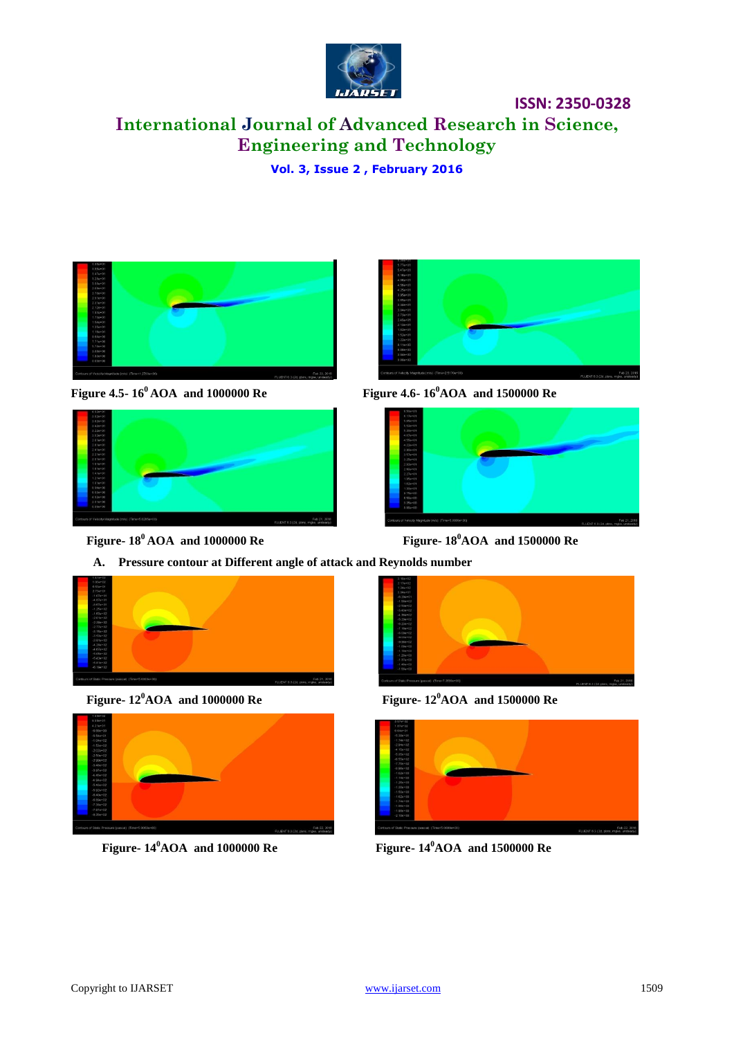

# **International Journal of Advanced Research in Science, Engineering and Technology**

**Vol. 3, Issue 2 , February 2016**



**Figure 4.5- 16<sup>0</sup>AOA and 1000000 Re Figure 4.6- 16<sup>0</sup>AOA and 1500000 Re**



 **Figure- 18<sup>0</sup>AOA and 1000000 Re Figure- 18<sup>0</sup>AOA and 1500000 Re**







 **Figure- 12<sup>0</sup>AOA and 1000000 Re Figure- 12<sup>0</sup>AOA and 1500000 Re**



 **Figure- 14<sup>0</sup>AOA and 1000000 Re Figure- 14<sup>0</sup>AOA and 1500000 Re**



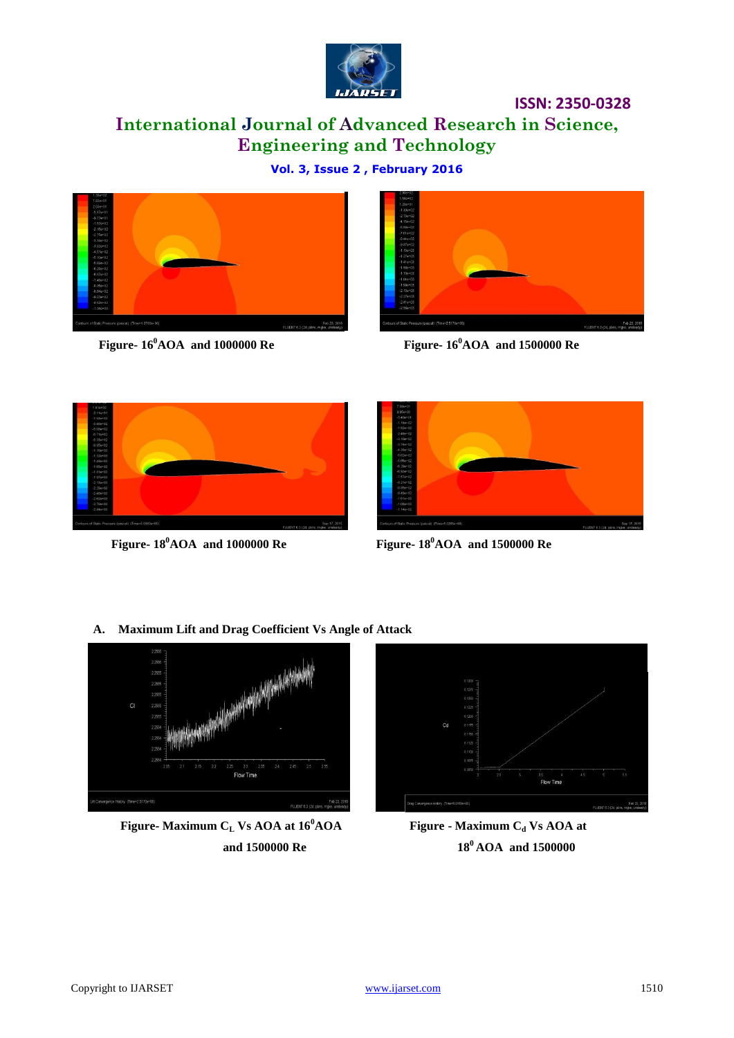

# **International Journal of Advanced Research in Science, Engineering and Technology**

**Vol. 3, Issue 2 , February 2016**





 **Figure- 16<sup>0</sup>AOA and 1000000 Re Figure- 16<sup>0</sup>AOA and 1500000 Re**





 **Figure- 18<sup>0</sup>AOA and 1000000 Re Figure- 18<sup>0</sup>AOA and 1500000 Re**

**A. Maximum Lift and Drag Coefficient Vs Angle of Attack**



 **Figure- Maximum C<sup>L</sup> Vs AOA at 16<sup>0</sup>AOA Figure - Maximum C<sup>d</sup> Vs AOA at** 



 **and 1500000 Re** 18<sup>0</sup> **AOA** and 1500000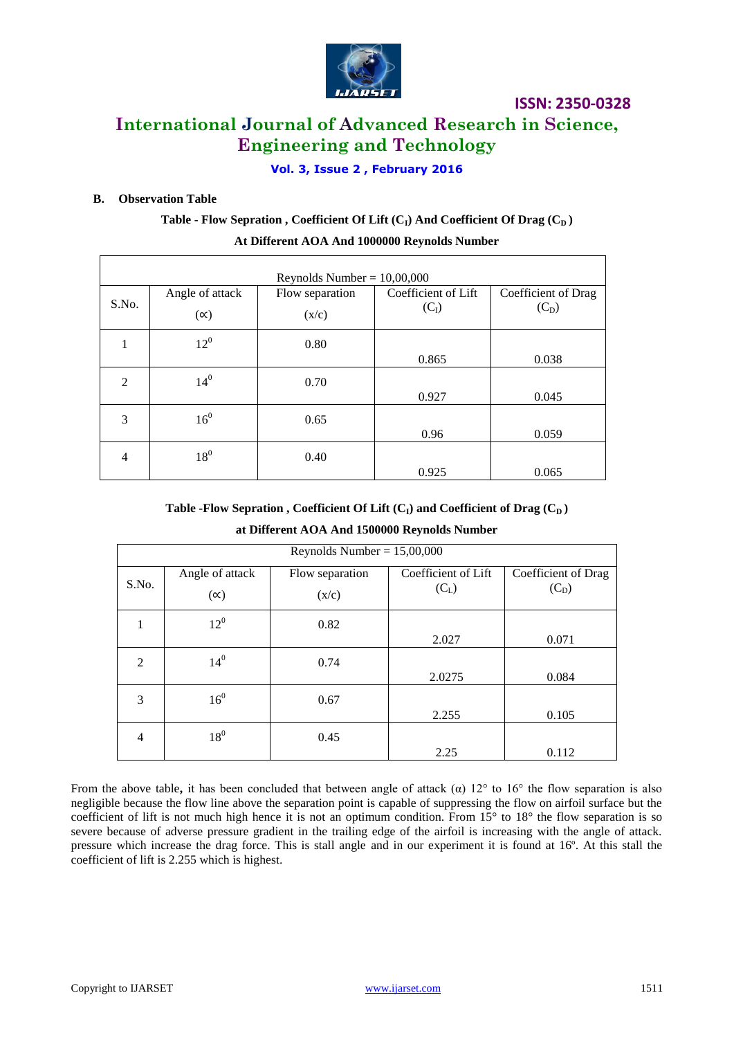

### **International Journal of Advanced Research in Science, Engineering and Technology**

#### **Vol. 3, Issue 2 , February 2016**

#### **B. Observation Table**

### **Table - Flow Sepration , Coefficient Of Lift (CI) And Coefficient Of Drag (CD ) At Different AOA And 1000000 Reynolds Number**

| Reynolds Number = $10,00,000$ |                               |                          |                                |                                |
|-------------------------------|-------------------------------|--------------------------|--------------------------------|--------------------------------|
| S.No.                         | Angle of attack<br>$(\infty)$ | Flow separation<br>(x/c) | Coefficient of Lift<br>$(C_I)$ | Coefficient of Drag<br>$(C_D)$ |
| 1                             | $12^{0}$                      | 0.80                     | 0.865                          | 0.038                          |
| $\mathfrak{D}$                | $14^{0}$                      | 0.70                     | 0.927                          | 0.045                          |
| 3                             | 16 <sup>0</sup>               | 0.65                     | 0.96                           | 0.059                          |
| 4                             | $18^0$                        | 0.40                     | 0.925                          | 0.065                          |

#### Table -Flow Sepration, Coefficient Of Lift  $(C_I)$  and Coefficient of Drag  $(C_D)$

| at Different AOA And 1500000 Reynolds Number |  |
|----------------------------------------------|--|
| Revnolds Number $= 15.00.000$                |  |

| Reynolds Number = $15,00,000$ |                 |                 |                     |                     |
|-------------------------------|-----------------|-----------------|---------------------|---------------------|
|                               | Angle of attack | Flow separation | Coefficient of Lift | Coefficient of Drag |
| S.No.                         | $(\infty)$      | (x/c)           | $(C_L)$             | $(C_D)$             |
|                               | $12^{0}$        | 0.82            |                     |                     |
|                               |                 |                 | 2.027               | 0.071               |
| 2                             | $14^{0}$        | 0.74            |                     |                     |
|                               |                 |                 | 2.0275              | 0.084               |
| 3                             | 16 <sup>0</sup> | 0.67            |                     |                     |
|                               |                 |                 | 2.255               | 0.105               |
| $\overline{4}$                | $18^0$          | 0.45            |                     |                     |
|                               |                 |                 | 2.25                | 0.112               |

From the above table, it has been concluded that between angle of attack  $\alpha$ ) 12° to 16° the flow separation is also negligible because the flow line above the separation point is capable of suppressing the flow on airfoil surface but the coefficient of lift is not much high hence it is not an optimum condition. From  $15^{\circ}$  to  $18^{\circ}$  the flow separation is so severe because of adverse pressure gradient in the trailing edge of the airfoil is increasing with the angle of attack. pressure which increase the drag force. This is stall angle and in our experiment it is found at 16º. At this stall the coefficient of lift is 2.255 which is highest.